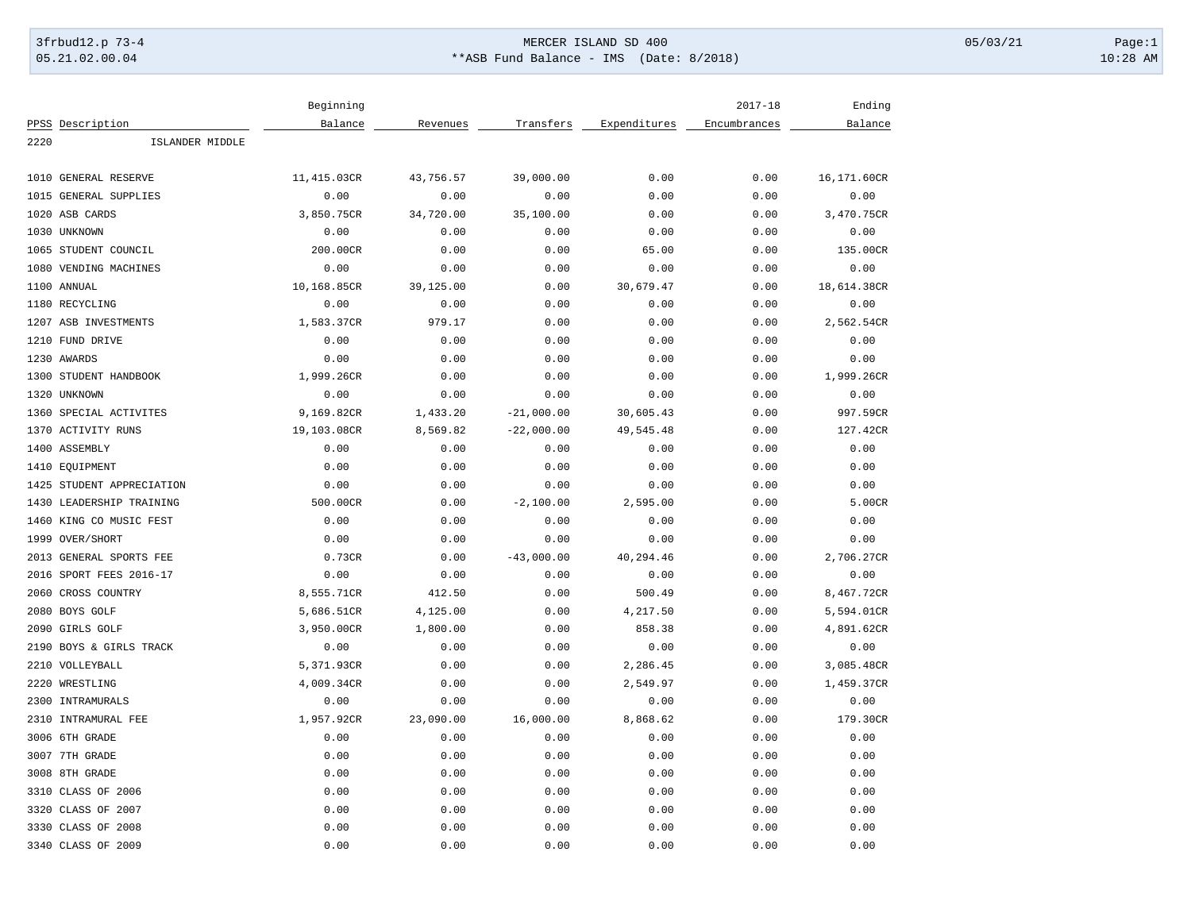## 3frbud12.p 73-4 Page:1 Page:1 05.21.02.00.04 \*\*ASB Fund Balance - IMS (Date: 8/2018) 10:28 AM

|      |                           | Beginning   |           |              |              | $2017 - 18$  | Ending      |
|------|---------------------------|-------------|-----------|--------------|--------------|--------------|-------------|
|      | PPSS Description          | Balance     | Revenues  | Transfers    | Expenditures | Encumbrances | Balance     |
| 2220 | ISLANDER MIDDLE           |             |           |              |              |              |             |
|      |                           |             |           |              |              |              |             |
|      | 1010 GENERAL RESERVE      | 11,415.03CR | 43,756.57 | 39,000.00    | 0.00         | 0.00         | 16,171.60CR |
| 1015 | <b>GENERAL SUPPLIES</b>   | 0.00        | 0.00      | 0.00         | 0.00         | 0.00         | 0.00        |
|      | 1020 ASB CARDS            | 3,850.75CR  | 34,720.00 | 35,100.00    | 0.00         | 0.00         | 3,470.75CR  |
|      | 1030 UNKNOWN              | 0.00        | 0.00      | 0.00         | 0.00         | 0.00         | 0.00        |
|      | 1065 STUDENT COUNCIL      | 200.00CR    | 0.00      | 0.00         | 65.00        | 0.00         | 135.00CR    |
| 1080 | VENDING MACHINES          | 0.00        | 0.00      | 0.00         | 0.00         | 0.00         | 0.00        |
|      | 1100 ANNUAL               | 10,168.85CR | 39,125.00 | 0.00         | 30,679.47    | 0.00         | 18,614.38CR |
|      | 1180 RECYCLING            | 0.00        | 0.00      | 0.00         | 0.00         | 0.00         | 0.00        |
|      | 1207 ASB INVESTMENTS      | 1,583.37CR  | 979.17    | 0.00         | 0.00         | 0.00         | 2,562.54CR  |
|      | 1210 FUND DRIVE           | 0.00        | 0.00      | 0.00         | 0.00         | 0.00         | 0.00        |
|      | 1230 AWARDS               | 0.00        | 0.00      | 0.00         | 0.00         | 0.00         | 0.00        |
|      | 1300 STUDENT HANDBOOK     | 1,999.26CR  | 0.00      | 0.00         | 0.00         | 0.00         | 1,999.26CR  |
|      | 1320 UNKNOWN              | 0.00        | 0.00      | 0.00         | 0.00         | 0.00         | 0.00        |
|      | 1360 SPECIAL ACTIVITES    | 9,169.82CR  | 1,433.20  | $-21,000.00$ | 30,605.43    | 0.00         | 997.59CR    |
|      | 1370 ACTIVITY RUNS        | 19,103.08CR | 8,569.82  | $-22,000.00$ | 49,545.48    | 0.00         | 127.42CR    |
|      | 1400 ASSEMBLY             | 0.00        | 0.00      | 0.00         | 0.00         | 0.00         | 0.00        |
|      | 1410 EOUIPMENT            | 0.00        | 0.00      | 0.00         | 0.00         | 0.00         | 0.00        |
|      | 1425 STUDENT APPRECIATION | 0.00        | 0.00      | 0.00         | 0.00         | 0.00         | 0.00        |
|      | 1430 LEADERSHIP TRAINING  | 500.00CR    | 0.00      | $-2,100.00$  | 2,595.00     | 0.00         | 5.00CR      |
|      | 1460 KING CO MUSIC FEST   | 0.00        | 0.00      | 0.00         | 0.00         | 0.00         | 0.00        |
|      | 1999 OVER/SHORT           | 0.00        | 0.00      | 0.00         | 0.00         | 0.00         | 0.00        |
|      | 2013 GENERAL SPORTS FEE   | 0.73CR      | 0.00      | $-43,000.00$ | 40,294.46    | 0.00         | 2,706.27CR  |
|      | 2016 SPORT FEES 2016-17   | 0.00        | 0.00      | 0.00         | 0.00         | 0.00         | 0.00        |
|      | 2060 CROSS COUNTRY        | 8,555.71CR  | 412.50    | 0.00         | 500.49       | 0.00         | 8,467.72CR  |
|      | 2080 BOYS GOLF            | 5,686.51CR  | 4,125.00  | 0.00         | 4,217.50     | 0.00         | 5,594.01CR  |
|      | 2090 GIRLS GOLF           | 3,950.00CR  | 1,800.00  | 0.00         | 858.38       | 0.00         | 4,891.62CR  |
|      | 2190 BOYS & GIRLS TRACK   | 0.00        | 0.00      | 0.00         | 0.00         | 0.00         | 0.00        |
|      | 2210 VOLLEYBALL           | 5,371.93CR  | 0.00      | 0.00         | 2,286.45     | 0.00         | 3,085.48CR  |
|      | 2220 WRESTLING            | 4,009.34CR  | 0.00      | 0.00         | 2,549.97     | 0.00         | 1,459.37CR  |
|      | 2300 INTRAMURALS          | 0.00        | 0.00      | 0.00         | 0.00         | 0.00         | 0.00        |
| 2310 | INTRAMURAL FEE            | 1,957.92CR  | 23,090.00 | 16,000.00    | 8,868.62     | 0.00         | 179.30CR    |
|      | 3006 6TH GRADE            | 0.00        | 0.00      | 0.00         | 0.00         | 0.00         | 0.00        |
|      | 3007 7TH GRADE            | 0.00        | 0.00      | 0.00         | 0.00         | 0.00         | 0.00        |
|      | 3008 8TH GRADE            | 0.00        | 0.00      | 0.00         | 0.00         | 0.00         | 0.00        |
|      | 3310 CLASS OF 2006        | 0.00        | 0.00      | 0.00         | 0.00         | 0.00         | 0.00        |
|      | 3320 CLASS OF 2007        | 0.00        | 0.00      | 0.00         | 0.00         | 0.00         | 0.00        |
|      | 3330 CLASS OF 2008        | 0.00        | 0.00      | 0.00         | 0.00         | 0.00         | 0.00        |
|      | 3340 CLASS OF 2009        | 0.00        | 0.00      | 0.00         | 0.00         | 0.00         | 0.00        |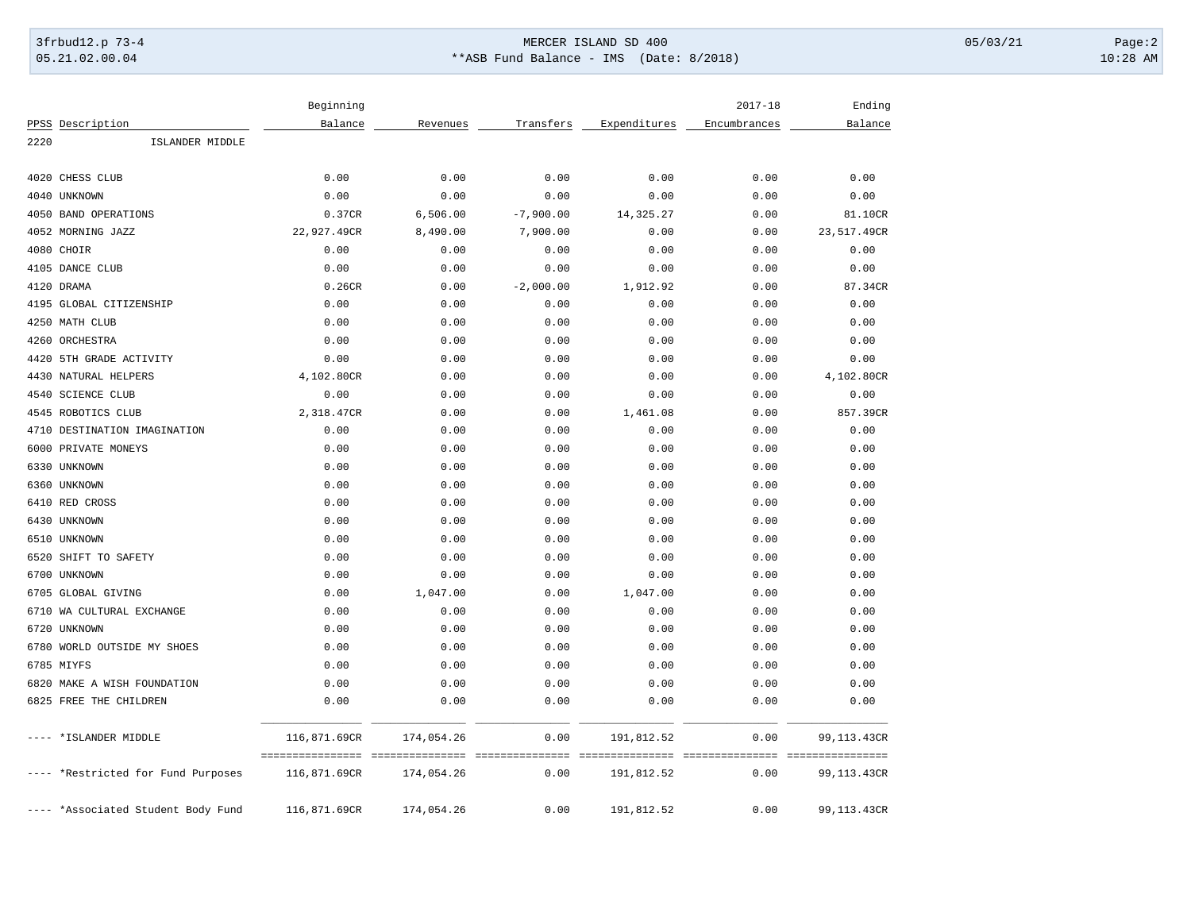## 3frbud12.p 73-4 Page:2 05.21.02.00.04 \*\*ASB Fund Balance - IMS (Date: 8/2018) 10:28 AM

|      |                                    | Beginning                          |            |                 |                                      | $2017 - 18$  | Ending             |
|------|------------------------------------|------------------------------------|------------|-----------------|--------------------------------------|--------------|--------------------|
|      | PPSS Description                   | Balance                            | Revenues   | Transfers       | Expenditures                         | Encumbrances | Balance            |
| 2220 | ISLANDER MIDDLE                    |                                    |            |                 |                                      |              |                    |
| 4020 | CHESS CLUB                         | 0.00                               | 0.00       | 0.00            | 0.00                                 | 0.00         | 0.00               |
|      | 4040 UNKNOWN                       | 0.00                               | 0.00       | 0.00            | 0.00                                 | 0.00         | 0.00               |
|      | 4050 BAND OPERATIONS               | 0.37CR                             | 6,506.00   | $-7,900.00$     | 14,325.27                            | 0.00         | 81.10CR            |
|      | 4052 MORNING JAZZ                  | 22,927.49CR                        | 8,490.00   | 7,900.00        | 0.00                                 | 0.00         | 23,517.49CR        |
|      | 4080 CHOIR                         | 0.00                               | 0.00       | 0.00            | 0.00                                 | 0.00         | 0.00               |
|      | 4105 DANCE CLUB                    | 0.00                               | 0.00       | 0.00            | 0.00                                 | 0.00         | 0.00               |
|      | 4120 DRAMA                         | 0.26CR                             | 0.00       | $-2,000.00$     | 1,912.92                             | 0.00         | 87.34CR            |
|      | 4195 GLOBAL CITIZENSHIP            | 0.00                               | 0.00       | 0.00            | 0.00                                 | 0.00         | 0.00               |
|      | 4250 MATH CLUB                     | 0.00                               | 0.00       | 0.00            | 0.00                                 | 0.00         | 0.00               |
|      | 4260 ORCHESTRA                     | 0.00                               | 0.00       | 0.00            | 0.00                                 | 0.00         | 0.00               |
|      | 4420 5TH GRADE ACTIVITY            | 0.00                               | 0.00       | 0.00            | 0.00                                 | 0.00         | 0.00               |
|      | 4430 NATURAL HELPERS               | 4,102.80CR                         | 0.00       | 0.00            | 0.00                                 | 0.00         | 4,102.80CR         |
|      | 4540 SCIENCE CLUB                  | 0.00                               | 0.00       | 0.00            | 0.00                                 | 0.00         | 0.00               |
|      | 4545 ROBOTICS CLUB                 | 2,318.47CR                         | 0.00       | 0.00            | 1,461.08                             | 0.00         | 857.39CR           |
|      | 4710 DESTINATION IMAGINATION       | 0.00                               | 0.00       | 0.00            | 0.00                                 | 0.00         | 0.00               |
|      | 6000 PRIVATE MONEYS                | 0.00                               | 0.00       | 0.00            | 0.00                                 | 0.00         | 0.00               |
|      | 6330 UNKNOWN                       | 0.00                               | 0.00       | 0.00            | 0.00                                 | 0.00         | 0.00               |
|      | 6360 UNKNOWN                       | 0.00                               | 0.00       | 0.00            | 0.00                                 | 0.00         | 0.00               |
|      | 6410 RED CROSS                     | 0.00                               | 0.00       | 0.00            | 0.00                                 | 0.00         | 0.00               |
|      | 6430 UNKNOWN                       | 0.00                               | 0.00       | 0.00            | 0.00                                 | 0.00         | 0.00               |
|      | 6510 UNKNOWN                       | 0.00                               | 0.00       | 0.00            | 0.00                                 | 0.00         | 0.00               |
|      | 6520 SHIFT TO SAFETY               | 0.00                               | 0.00       | 0.00            | 0.00                                 | 0.00         | 0.00               |
|      | 6700 UNKNOWN                       | 0.00                               | 0.00       | 0.00            | 0.00                                 | 0.00         | 0.00               |
|      | 6705 GLOBAL GIVING                 | 0.00                               | 1,047.00   | 0.00            | 1,047.00                             | 0.00         | 0.00               |
|      | 6710 WA CULTURAL EXCHANGE          | 0.00                               | 0.00       | 0.00            | 0.00                                 | 0.00         | 0.00               |
|      | 6720 UNKNOWN                       | 0.00                               | 0.00       | 0.00            | 0.00                                 | 0.00         | 0.00               |
|      | 6780 WORLD OUTSIDE MY SHOES        | 0.00                               | 0.00       | 0.00            | 0.00                                 | 0.00         | 0.00               |
|      | 6785 MIYFS                         | 0.00                               | 0.00       | 0.00            | 0.00                                 | 0.00         | 0.00               |
|      | 6820 MAKE A WISH FOUNDATION        | 0.00                               | 0.00       | 0.00            | 0.00                                 | 0.00         | 0.00               |
|      | 6825 FREE THE CHILDREN             | 0.00                               | 0.00       | 0.00            | 0.00                                 | 0.00         | 0.00               |
|      | *ISLANDER MIDDLE                   | 116,871.69CR                       | 174,054.26 | 0.00            | 191,812.52                           | 0.00         | 99,113.43CR        |
|      |                                    | ================================== |            | =============== | ____________________________________ |              | - ================ |
|      | *Restricted for Fund Purposes      | 116,871.69CR                       | 174,054.26 | 0.00            | 191,812.52                           | 0.00         | 99,113.43CR        |
|      | ---- *Associated Student Body Fund | 116,871.69CR                       | 174,054.26 | 0.00            | 191,812.52                           | 0.00         | 99,113.43CR        |